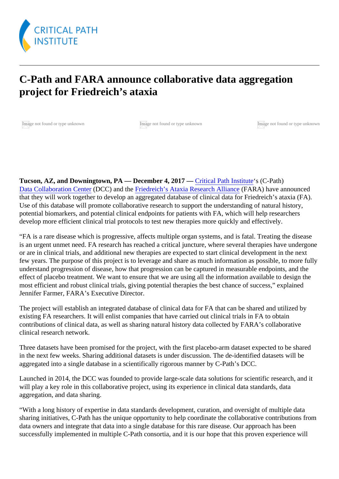## C-Path and FARA announce collaborative data aggregation project for Friedreich's ataxia

[Ima](https://c-path.org/wp-content/uploads/2017/12/FARA.png)ge not found or type unknown Image not found or type unknown Image not found or type unknown

Tucson, AZ, and Downingtown, PA — December 4, 2017 <del>Critical Path Institutes</del> (C-Path) [Data Collaboration Cent](https://c-path.org/programs/dcc/)eDCC)and th[e Friedreich's Ataxia Research Allian](http://www.curefa.org) (EARA) have announced that they will work together to develop an aggregated database of clinical data for Friedreich's ataxia (FA). Use of this database will promote collaborative research to support the understanding of natural history, potential biomarkers, and potential clinical endpoints for patients with FA, which will help researchers develop more efficient clinical trial protocols to test new therapies more quickly and effectively.

"FA is a rare disease which is progressive, affects multiple organ systems, and is fatal. Treating the diseas is an urgent unmet need. FA research has reached a critical juncture, where several therapies have under or are in clinical trials, and additional new therapies are expected to start clinical development in the next few years. The purpose of this project is to leverage and share as much information as possible, to more f understand progression of disease, how that progression can be captured in measurable endpoints, and the effect of placebo treatment. We want to ensure that we are using all the information available to design the most efficient and robust clinical trials, giving potential therapies the best chance of success," explained Jennifer Farmer, FARA's Executive Director.

The project will establish an integrated database of clinical data for FA that can be shared and utilized by existing FA researchers. It will enlist companies that have carried out clinical trials in FA to obtain contributions of clinical data, as well as sharing natural history data collected by FARA's collaborative clinical research network.

Three datasets have been promised for the project, with the first placebo-arm dataset expected to be shar in the next few weeks. Sharing additional datasets is under discussion. The de-identified datasets will be aggregated into a single database in a scientifically rigorous manner by C-Path's DCC.

Launched in 2014, the DCC was founded to provide large-scale data solutions for scientific research, and will play a key role in this collaborative project, using its experience in clinical data standards, data aggregation, and data sharing.

"With a long history of expertise in data standards development, curation, and oversight of multiple data sharing initiatives, C-Path has the unique opportunity to help coordinate the collaborative contributions from data owners and integrate that data into a single database for this rare disease. Our approach has been successfully implemented in multiple C-Path consortia, and it is our hope that this proven experience will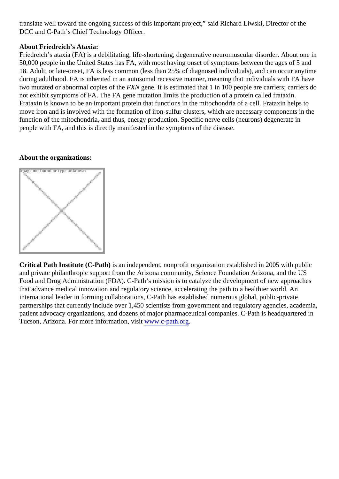translate well toward the ongoing success of this important project," said Richard Liwski, Director of the DCC and C-Path's Chief Technology Officer.

## About Friedreich's Ataxia:

Friedreich's ataxia (FA) is a debilitating, life-shortening, degenerative neuromuscular disorder. About one 50,000 people in the United States has FA, with most having onset of symptoms between the ages of 5 ard 18. Adult, or late-onset, FA is less common (less than 25% of diagnosed individuals), and can occur anytir during adulthood. FA is inherited in an autosomal recessive manner, meaning that individuals with FA have two mutated or abnormal copies of friend gene. It is estimated that 1 in 100 people are carriers; carriers do not exhibit symptoms of FA. The FA gene mutation limits the production of a protein called frataxin. Frataxin is known to be an important protein that functions in the mitochondria of a cell. Frataxin helps to move iron and is involved with the formation of iron-sulfur clusters, which are necessary components in the function of the mitochondria, and thus, energy production. Specific nerve cells (neurons) degenerate in people with FA, and this is directly manifested in the symptoms of the disease.

## About the organizations:

Image not found or type unknown

Critical Path Institute (C-Path) is an independent, nonprofit organization established in 2005 with public and private philanthropic support from the Arizona community, Science Foundation Arizona, and the US Food and Drug Administration (FDA). C-Path's mission is to catalyze the development of new approaches that advance medical innovation and regulatory science, accelerating the path to a healthier world. An international leader in forming collaborations, C-Path has established numerous global, public-private partnerships that currently include over 1,450 scientists from government and regulatory agencies, acader patient advocacy organizations, and dozens of major pharmaceutical companies. C-Path is headquartered Tucson, Arizona. For more information, visit ww.c-path.org